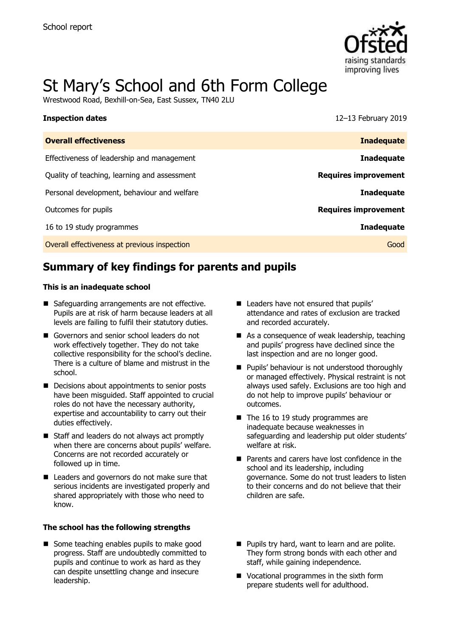

# St Mary's School and 6th Form College

Wrestwood Road, Bexhill-on-Sea, East Sussex, TN40 2LU

| <b>Inspection dates</b>                      | 12-13 February 2019         |
|----------------------------------------------|-----------------------------|
| <b>Overall effectiveness</b>                 | <b>Inadequate</b>           |
| Effectiveness of leadership and management   | <b>Inadequate</b>           |
| Quality of teaching, learning and assessment | <b>Requires improvement</b> |
| Personal development, behaviour and welfare  | <b>Inadequate</b>           |
| Outcomes for pupils                          | <b>Requires improvement</b> |
| 16 to 19 study programmes                    | <b>Inadequate</b>           |
| Overall effectiveness at previous inspection | Good                        |

# **Summary of key findings for parents and pupils**

#### **This is an inadequate school**

- Safeguarding arrangements are not effective. Pupils are at risk of harm because leaders at all levels are failing to fulfil their statutory duties.
- Governors and senior school leaders do not work effectively together. They do not take collective responsibility for the school's decline. There is a culture of blame and mistrust in the school.
- Decisions about appointments to senior posts have been misguided. Staff appointed to crucial roles do not have the necessary authority, expertise and accountability to carry out their duties effectively.
- Staff and leaders do not always act promptly when there are concerns about pupils' welfare. Concerns are not recorded accurately or followed up in time.
- Leaders and governors do not make sure that serious incidents are investigated properly and shared appropriately with those who need to know.

#### **The school has the following strengths**

■ Some teaching enables pupils to make good progress. Staff are undoubtedly committed to pupils and continue to work as hard as they can despite unsettling change and insecure leadership.

- Leaders have not ensured that pupils' attendance and rates of exclusion are tracked and recorded accurately.
- As a consequence of weak leadership, teaching and pupils' progress have declined since the last inspection and are no longer good.
- **Pupils' behaviour is not understood thoroughly** or managed effectively. Physical restraint is not always used safely. Exclusions are too high and do not help to improve pupils' behaviour or outcomes.
- $\blacksquare$  The 16 to 19 study programmes are inadequate because weaknesses in safeguarding and leadership put older students' welfare at risk.
- **Parents and carers have lost confidence in the** school and its leadership, including governance. Some do not trust leaders to listen to their concerns and do not believe that their children are safe.
- **Pupils try hard, want to learn and are polite.** They form strong bonds with each other and staff, while gaining independence.
- Vocational programmes in the sixth form prepare students well for adulthood.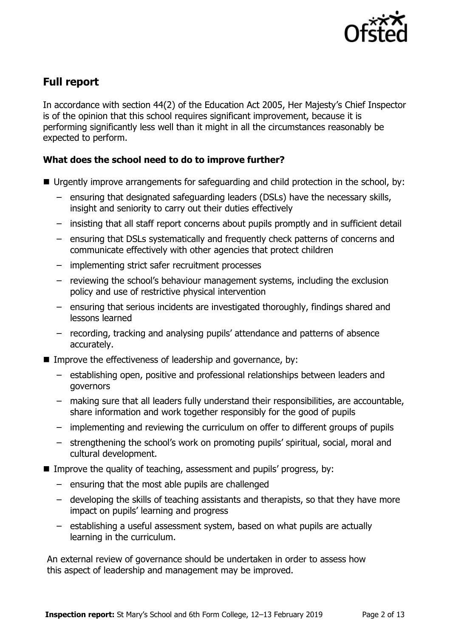

# **Full report**

In accordance with section 44(2) of the Education Act 2005, Her Majesty's Chief Inspector is of the opinion that this school requires significant improvement, because it is performing significantly less well than it might in all the circumstances reasonably be expected to perform.

### **What does the school need to do to improve further?**

- Urgently improve arrangements for safeguarding and child protection in the school, by:
	- ensuring that designated safeguarding leaders (DSLs) have the necessary skills, insight and seniority to carry out their duties effectively
	- insisting that all staff report concerns about pupils promptly and in sufficient detail
	- ensuring that DSLs systematically and frequently check patterns of concerns and communicate effectively with other agencies that protect children
	- implementing strict safer recruitment processes
	- reviewing the school's behaviour management systems, including the exclusion policy and use of restrictive physical intervention
	- ensuring that serious incidents are investigated thoroughly, findings shared and lessons learned
	- recording, tracking and analysing pupils' attendance and patterns of absence accurately.
- Improve the effectiveness of leadership and governance, by:
	- establishing open, positive and professional relationships between leaders and governors
	- making sure that all leaders fully understand their responsibilities, are accountable, share information and work together responsibly for the good of pupils
	- implementing and reviewing the curriculum on offer to different groups of pupils
	- strengthening the school's work on promoting pupils' spiritual, social, moral and cultural development.
- Improve the quality of teaching, assessment and pupils' progress, by:
	- ensuring that the most able pupils are challenged
	- developing the skills of teaching assistants and therapists, so that they have more impact on pupils' learning and progress
	- establishing a useful assessment system, based on what pupils are actually learning in the curriculum.

An external review of governance should be undertaken in order to assess how this aspect of leadership and management may be improved.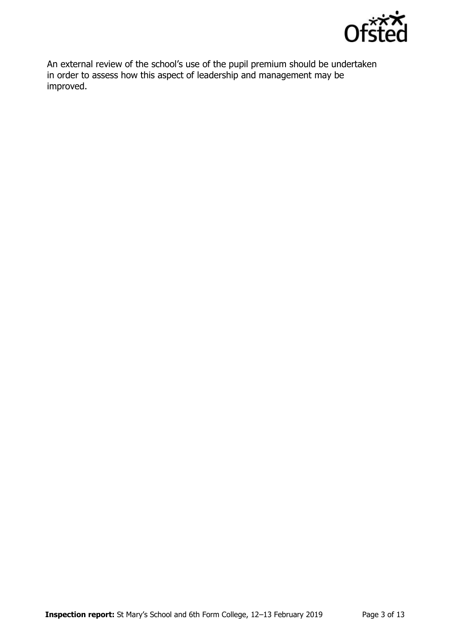

An external review of the school's use of the pupil premium should be undertaken in order to assess how this aspect of leadership and management may be improved.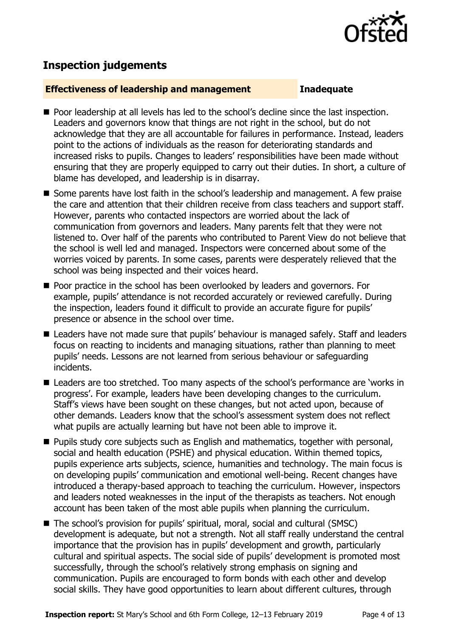

## **Inspection judgements**

#### **Effectiveness of leadership and management Inadequate**

- **Poor leadership at all levels has led to the school's decline since the last inspection.** Leaders and governors know that things are not right in the school, but do not acknowledge that they are all accountable for failures in performance. Instead, leaders point to the actions of individuals as the reason for deteriorating standards and increased risks to pupils. Changes to leaders' responsibilities have been made without ensuring that they are properly equipped to carry out their duties. In short, a culture of blame has developed, and leadership is in disarray.
- Some parents have lost faith in the school's leadership and management. A few praise the care and attention that their children receive from class teachers and support staff. However, parents who contacted inspectors are worried about the lack of communication from governors and leaders. Many parents felt that they were not listened to. Over half of the parents who contributed to Parent View do not believe that the school is well led and managed. Inspectors were concerned about some of the worries voiced by parents. In some cases, parents were desperately relieved that the school was being inspected and their voices heard.
- **Poor practice in the school has been overlooked by leaders and governors. For** example, pupils' attendance is not recorded accurately or reviewed carefully. During the inspection, leaders found it difficult to provide an accurate figure for pupils' presence or absence in the school over time.
- Leaders have not made sure that pupils' behaviour is managed safely. Staff and leaders focus on reacting to incidents and managing situations, rather than planning to meet pupils' needs. Lessons are not learned from serious behaviour or safeguarding incidents.
- Leaders are too stretched. Too many aspects of the school's performance are 'works in progress'. For example, leaders have been developing changes to the curriculum. Staff's views have been sought on these changes, but not acted upon, because of other demands. Leaders know that the school's assessment system does not reflect what pupils are actually learning but have not been able to improve it.
- **Pupils study core subjects such as English and mathematics, together with personal,** social and health education (PSHE) and physical education. Within themed topics, pupils experience arts subjects, science, humanities and technology. The main focus is on developing pupils' communication and emotional well-being. Recent changes have introduced a therapy-based approach to teaching the curriculum. However, inspectors and leaders noted weaknesses in the input of the therapists as teachers. Not enough account has been taken of the most able pupils when planning the curriculum.
- The school's provision for pupils' spiritual, moral, social and cultural (SMSC) development is adequate, but not a strength. Not all staff really understand the central importance that the provision has in pupils' development and growth, particularly cultural and spiritual aspects. The social side of pupils' development is promoted most successfully, through the school's relatively strong emphasis on signing and communication. Pupils are encouraged to form bonds with each other and develop social skills. They have good opportunities to learn about different cultures, through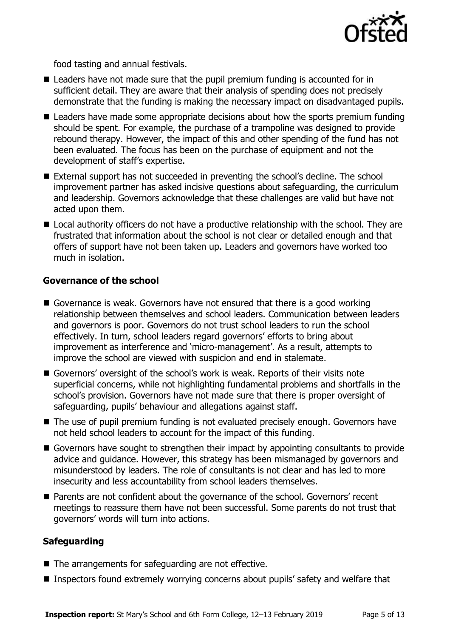

food tasting and annual festivals.

- Leaders have not made sure that the pupil premium funding is accounted for in sufficient detail. They are aware that their analysis of spending does not precisely demonstrate that the funding is making the necessary impact on disadvantaged pupils.
- Leaders have made some appropriate decisions about how the sports premium funding should be spent. For example, the purchase of a trampoline was designed to provide rebound therapy. However, the impact of this and other spending of the fund has not been evaluated. The focus has been on the purchase of equipment and not the development of staff's expertise.
- External support has not succeeded in preventing the school's decline. The school improvement partner has asked incisive questions about safeguarding, the curriculum and leadership. Governors acknowledge that these challenges are valid but have not acted upon them.
- Local authority officers do not have a productive relationship with the school. They are frustrated that information about the school is not clear or detailed enough and that offers of support have not been taken up. Leaders and governors have worked too much in isolation.

### **Governance of the school**

- Governance is weak. Governors have not ensured that there is a good working relationship between themselves and school leaders. Communication between leaders and governors is poor. Governors do not trust school leaders to run the school effectively. In turn, school leaders regard governors' efforts to bring about improvement as interference and 'micro-management'. As a result, attempts to improve the school are viewed with suspicion and end in stalemate.
- Governors' oversight of the school's work is weak. Reports of their visits note superficial concerns, while not highlighting fundamental problems and shortfalls in the school's provision. Governors have not made sure that there is proper oversight of safeguarding, pupils' behaviour and allegations against staff.
- The use of pupil premium funding is not evaluated precisely enough. Governors have not held school leaders to account for the impact of this funding.
- Governors have sought to strengthen their impact by appointing consultants to provide advice and guidance. However, this strategy has been mismanaged by governors and misunderstood by leaders. The role of consultants is not clear and has led to more insecurity and less accountability from school leaders themselves.
- Parents are not confident about the governance of the school. Governors' recent meetings to reassure them have not been successful. Some parents do not trust that governors' words will turn into actions.

### **Safeguarding**

- The arrangements for safeguarding are not effective.
- Inspectors found extremely worrying concerns about pupils' safety and welfare that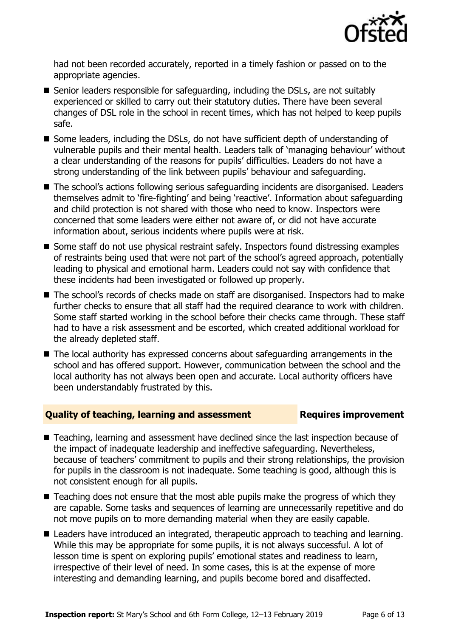

had not been recorded accurately, reported in a timely fashion or passed on to the appropriate agencies.

- Senior leaders responsible for safeguarding, including the DSLs, are not suitably experienced or skilled to carry out their statutory duties. There have been several changes of DSL role in the school in recent times, which has not helped to keep pupils safe.
- Some leaders, including the DSLs, do not have sufficient depth of understanding of vulnerable pupils and their mental health. Leaders talk of 'managing behaviour' without a clear understanding of the reasons for pupils' difficulties. Leaders do not have a strong understanding of the link between pupils' behaviour and safeguarding.
- The school's actions following serious safeguarding incidents are disorganised. Leaders themselves admit to 'fire-fighting' and being 'reactive'. Information about safeguarding and child protection is not shared with those who need to know. Inspectors were concerned that some leaders were either not aware of, or did not have accurate information about, serious incidents where pupils were at risk.
- Some staff do not use physical restraint safely. Inspectors found distressing examples of restraints being used that were not part of the school's agreed approach, potentially leading to physical and emotional harm. Leaders could not say with confidence that these incidents had been investigated or followed up properly.
- The school's records of checks made on staff are disorganised. Inspectors had to make further checks to ensure that all staff had the required clearance to work with children. Some staff started working in the school before their checks came through. These staff had to have a risk assessment and be escorted, which created additional workload for the already depleted staff.
- The local authority has expressed concerns about safeguarding arrangements in the school and has offered support. However, communication between the school and the local authority has not always been open and accurate. Local authority officers have been understandably frustrated by this.

### **Quality of teaching, learning and assessment Requires improvement**

- Teaching, learning and assessment have declined since the last inspection because of the impact of inadequate leadership and ineffective safeguarding. Nevertheless, because of teachers' commitment to pupils and their strong relationships, the provision for pupils in the classroom is not inadequate. Some teaching is good, although this is not consistent enough for all pupils.
- $\blacksquare$  Teaching does not ensure that the most able pupils make the progress of which they are capable. Some tasks and sequences of learning are unnecessarily repetitive and do not move pupils on to more demanding material when they are easily capable.
- Leaders have introduced an integrated, therapeutic approach to teaching and learning. While this may be appropriate for some pupils, it is not always successful. A lot of lesson time is spent on exploring pupils' emotional states and readiness to learn, irrespective of their level of need. In some cases, this is at the expense of more interesting and demanding learning, and pupils become bored and disaffected.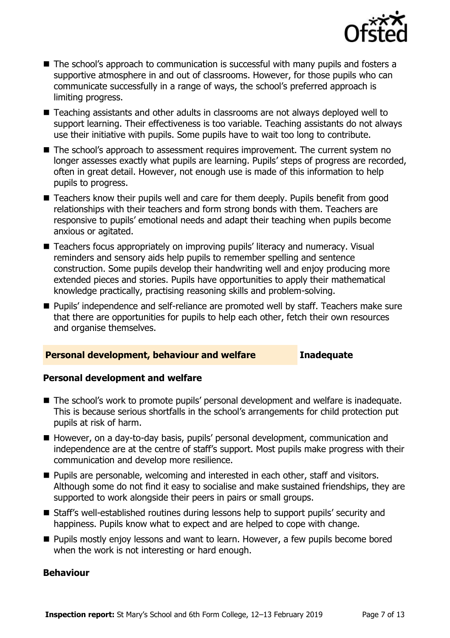

- The school's approach to communication is successful with many pupils and fosters a supportive atmosphere in and out of classrooms. However, for those pupils who can communicate successfully in a range of ways, the school's preferred approach is limiting progress.
- Teaching assistants and other adults in classrooms are not always deployed well to support learning. Their effectiveness is too variable. Teaching assistants do not always use their initiative with pupils. Some pupils have to wait too long to contribute.
- The school's approach to assessment requires improvement. The current system no longer assesses exactly what pupils are learning. Pupils' steps of progress are recorded, often in great detail. However, not enough use is made of this information to help pupils to progress.
- Teachers know their pupils well and care for them deeply. Pupils benefit from good relationships with their teachers and form strong bonds with them. Teachers are responsive to pupils' emotional needs and adapt their teaching when pupils become anxious or agitated.
- Teachers focus appropriately on improving pupils' literacy and numeracy. Visual reminders and sensory aids help pupils to remember spelling and sentence construction. Some pupils develop their handwriting well and enjoy producing more extended pieces and stories. Pupils have opportunities to apply their mathematical knowledge practically, practising reasoning skills and problem-solving.
- **Pupils' independence and self-reliance are promoted well by staff. Teachers make sure** that there are opportunities for pupils to help each other, fetch their own resources and organise themselves.

#### **Personal development, behaviour and welfare Inadequate**

#### **Personal development and welfare**

- The school's work to promote pupils' personal development and welfare is inadequate. This is because serious shortfalls in the school's arrangements for child protection put pupils at risk of harm.
- However, on a day-to-day basis, pupils' personal development, communication and independence are at the centre of staff's support. Most pupils make progress with their communication and develop more resilience.
- Pupils are personable, welcoming and interested in each other, staff and visitors. Although some do not find it easy to socialise and make sustained friendships, they are supported to work alongside their peers in pairs or small groups.
- Staff's well-established routines during lessons help to support pupils' security and happiness. Pupils know what to expect and are helped to cope with change.
- **Pupils mostly enjoy lessons and want to learn. However, a few pupils become bored** when the work is not interesting or hard enough.

#### **Behaviour**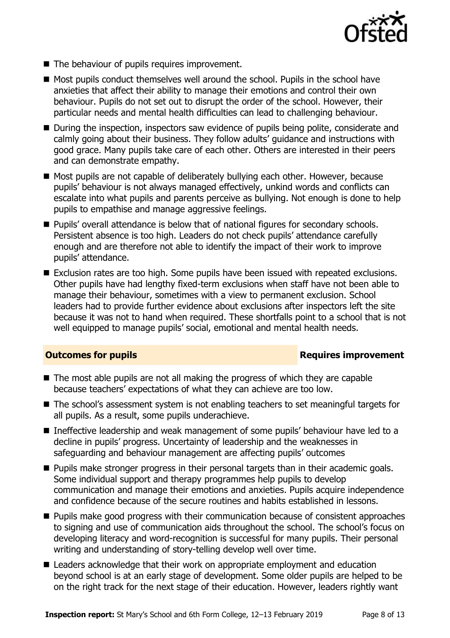

- The behaviour of pupils requires improvement.
- $\blacksquare$  Most pupils conduct themselves well around the school. Pupils in the school have anxieties that affect their ability to manage their emotions and control their own behaviour. Pupils do not set out to disrupt the order of the school. However, their particular needs and mental health difficulties can lead to challenging behaviour.
- During the inspection, inspectors saw evidence of pupils being polite, considerate and calmly going about their business. They follow adults' guidance and instructions with good grace. Many pupils take care of each other. Others are interested in their peers and can demonstrate empathy.
- Most pupils are not capable of deliberately bullying each other. However, because pupils' behaviour is not always managed effectively, unkind words and conflicts can escalate into what pupils and parents perceive as bullying. Not enough is done to help pupils to empathise and manage aggressive feelings.
- **Pupils' overall attendance is below that of national figures for secondary schools.** Persistent absence is too high. Leaders do not check pupils' attendance carefully enough and are therefore not able to identify the impact of their work to improve pupils' attendance.
- Exclusion rates are too high. Some pupils have been issued with repeated exclusions. Other pupils have had lengthy fixed-term exclusions when staff have not been able to manage their behaviour, sometimes with a view to permanent exclusion. School leaders had to provide further evidence about exclusions after inspectors left the site because it was not to hand when required. These shortfalls point to a school that is not well equipped to manage pupils' social, emotional and mental health needs.

#### **Outcomes for pupils Requires improvement**

- The most able pupils are not all making the progress of which they are capable because teachers' expectations of what they can achieve are too low.
- The school's assessment system is not enabling teachers to set meaningful targets for all pupils. As a result, some pupils underachieve.
- Ineffective leadership and weak management of some pupils' behaviour have led to a decline in pupils' progress. Uncertainty of leadership and the weaknesses in safeguarding and behaviour management are affecting pupils' outcomes
- **Pupils make stronger progress in their personal targets than in their academic goals.** Some individual support and therapy programmes help pupils to develop communication and manage their emotions and anxieties. Pupils acquire independence and confidence because of the secure routines and habits established in lessons.
- **Pupils make good progress with their communication because of consistent approaches** to signing and use of communication aids throughout the school. The school's focus on developing literacy and word-recognition is successful for many pupils. Their personal writing and understanding of story-telling develop well over time.
- Leaders acknowledge that their work on appropriate employment and education beyond school is at an early stage of development. Some older pupils are helped to be on the right track for the next stage of their education. However, leaders rightly want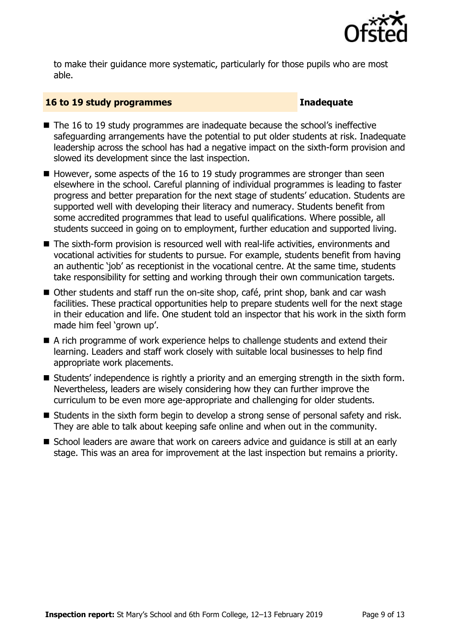

to make their guidance more systematic, particularly for those pupils who are most able.

#### **16 to 19 study programmes Inadequate**

- The 16 to 19 study programmes are inadequate because the school's ineffective safeguarding arrangements have the potential to put older students at risk. Inadequate leadership across the school has had a negative impact on the sixth-form provision and slowed its development since the last inspection.
- $\blacksquare$  However, some aspects of the 16 to 19 study programmes are stronger than seen elsewhere in the school. Careful planning of individual programmes is leading to faster progress and better preparation for the next stage of students' education. Students are supported well with developing their literacy and numeracy. Students benefit from some accredited programmes that lead to useful qualifications. Where possible, all students succeed in going on to employment, further education and supported living.
- The sixth-form provision is resourced well with real-life activities, environments and vocational activities for students to pursue. For example, students benefit from having an authentic 'iob' as receptionist in the vocational centre. At the same time, students take responsibility for setting and working through their own communication targets.
- Other students and staff run the on-site shop, café, print shop, bank and car wash facilities. These practical opportunities help to prepare students well for the next stage in their education and life. One student told an inspector that his work in the sixth form made him feel 'grown up'.
- A rich programme of work experience helps to challenge students and extend their learning. Leaders and staff work closely with suitable local businesses to help find appropriate work placements.
- Students' independence is rightly a priority and an emerging strength in the sixth form. Nevertheless, leaders are wisely considering how they can further improve the curriculum to be even more age-appropriate and challenging for older students.
- Students in the sixth form begin to develop a strong sense of personal safety and risk. They are able to talk about keeping safe online and when out in the community.
- School leaders are aware that work on careers advice and quidance is still at an early stage. This was an area for improvement at the last inspection but remains a priority.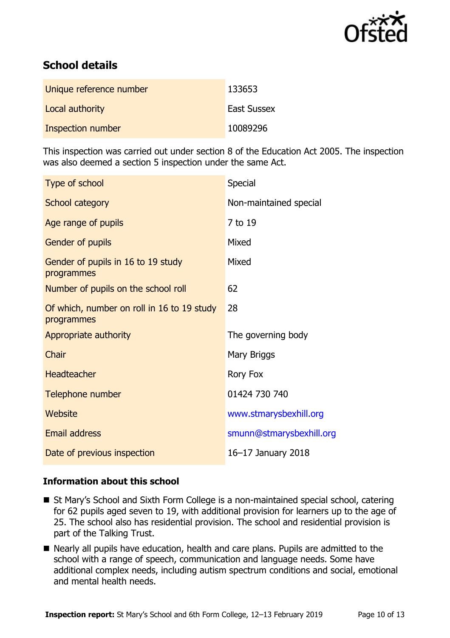

# **School details**

| Unique reference number | 133653             |
|-------------------------|--------------------|
| Local authority         | <b>East Sussex</b> |
| Inspection number       | 10089296           |

This inspection was carried out under section 8 of the Education Act 2005. The inspection was also deemed a section 5 inspection under the same Act.

| Type of school                                           | Special                  |
|----------------------------------------------------------|--------------------------|
| <b>School category</b>                                   | Non-maintained special   |
| Age range of pupils                                      | 7 to 19                  |
| Gender of pupils                                         | Mixed                    |
| Gender of pupils in 16 to 19 study<br>programmes         | Mixed                    |
| Number of pupils on the school roll                      | 62                       |
| Of which, number on roll in 16 to 19 study<br>programmes | 28                       |
| Appropriate authority                                    | The governing body       |
| Chair                                                    | Mary Briggs              |
| <b>Headteacher</b>                                       | Rory Fox                 |
| Telephone number                                         | 01424 730 740            |
| Website                                                  | www.stmarysbexhill.org   |
| <b>Email address</b>                                     | smunn@stmarysbexhill.org |
| Date of previous inspection                              | 16-17 January 2018       |

### **Information about this school**

- St Mary's School and Sixth Form College is a non-maintained special school, catering for 62 pupils aged seven to 19, with additional provision for learners up to the age of 25. The school also has residential provision. The school and residential provision is part of the Talking Trust.
- Nearly all pupils have education, health and care plans. Pupils are admitted to the school with a range of speech, communication and language needs. Some have additional complex needs, including autism spectrum conditions and social, emotional and mental health needs.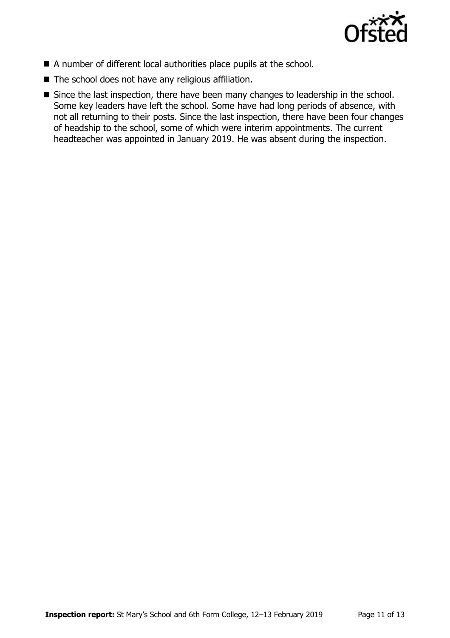

- A number of different local authorities place pupils at the school.
- The school does not have any religious affiliation.
- Since the last inspection, there have been many changes to leadership in the school. Some key leaders have left the school. Some have had long periods of absence, with not all returning to their posts. Since the last inspection, there have been four changes of headship to the school, some of which were interim appointments. The current headteacher was appointed in January 2019. He was absent during the inspection.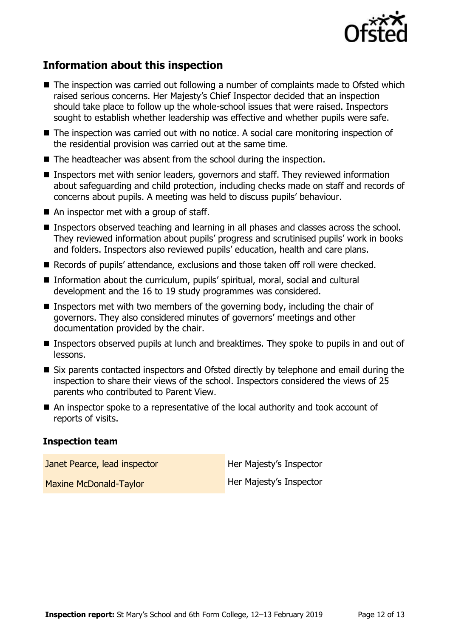

# **Information about this inspection**

- The inspection was carried out following a number of complaints made to Ofsted which raised serious concerns. Her Majesty's Chief Inspector decided that an inspection should take place to follow up the whole-school issues that were raised. Inspectors sought to establish whether leadership was effective and whether pupils were safe.
- The inspection was carried out with no notice. A social care monitoring inspection of the residential provision was carried out at the same time.
- The headteacher was absent from the school during the inspection.
- Inspectors met with senior leaders, governors and staff. They reviewed information about safeguarding and child protection, including checks made on staff and records of concerns about pupils. A meeting was held to discuss pupils' behaviour.
- An inspector met with a group of staff.
- Inspectors observed teaching and learning in all phases and classes across the school. They reviewed information about pupils' progress and scrutinised pupils' work in books and folders. Inspectors also reviewed pupils' education, health and care plans.
- Records of pupils' attendance, exclusions and those taken off roll were checked.
- Information about the curriculum, pupils' spiritual, moral, social and cultural development and the 16 to 19 study programmes was considered.
- **Inspectors met with two members of the governing body, including the chair of** governors. They also considered minutes of governors' meetings and other documentation provided by the chair.
- **Inspectors observed pupils at lunch and breaktimes. They spoke to pupils in and out of** lessons.
- Six parents contacted inspectors and Ofsted directly by telephone and email during the inspection to share their views of the school. Inspectors considered the views of 25 parents who contributed to Parent View.
- An inspector spoke to a representative of the local authority and took account of reports of visits.

#### **Inspection team**

Janet Pearce, lead inspector **Her Majesty's Inspector** Maxine McDonald-Taylor Maxine McDonald-Taylor